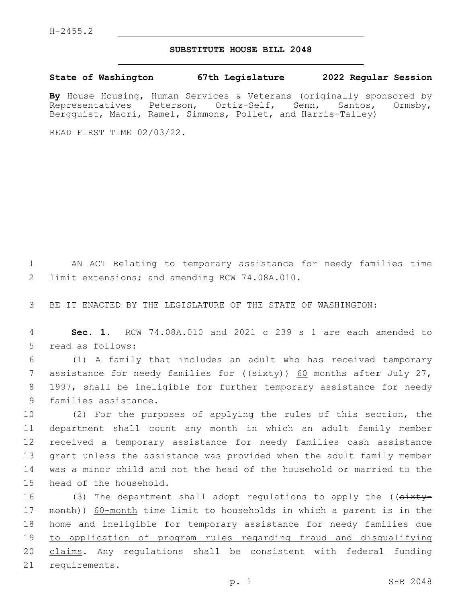## **SUBSTITUTE HOUSE BILL 2048**

**State of Washington 67th Legislature 2022 Regular Session**

**By** House Housing, Human Services & Veterans (originally sponsored by Representatives Peterson, Ortiz-Self, Senn, Santos, Ormsby, Bergquist, Macri, Ramel, Simmons, Pollet, and Harris-Talley)

READ FIRST TIME 02/03/22.

1 AN ACT Relating to temporary assistance for needy families time 2 limit extensions; and amending RCW 74.08A.010.

3 BE IT ENACTED BY THE LEGISLATURE OF THE STATE OF WASHINGTON:

4 **Sec. 1.** RCW 74.08A.010 and 2021 c 239 s 1 are each amended to 5 read as follows:

6 (1) A family that includes an adult who has received temporary 7 assistance for needy families for  $((s+$ 8 1997, shall be ineligible for further temporary assistance for needy 9 families assistance.

 (2) For the purposes of applying the rules of this section, the department shall count any month in which an adult family member received a temporary assistance for needy families cash assistance grant unless the assistance was provided when the adult family member was a minor child and not the head of the household or married to the 15 head of the household.

16 (3) The department shall adopt regulations to apply the ((sixty-17 month)) 60-month time limit to households in which a parent is in the 18 home and ineligible for temporary assistance for needy families due 19 to application of program rules regarding fraud and disqualifying 20 claims. Any regulations shall be consistent with federal funding 21 requirements.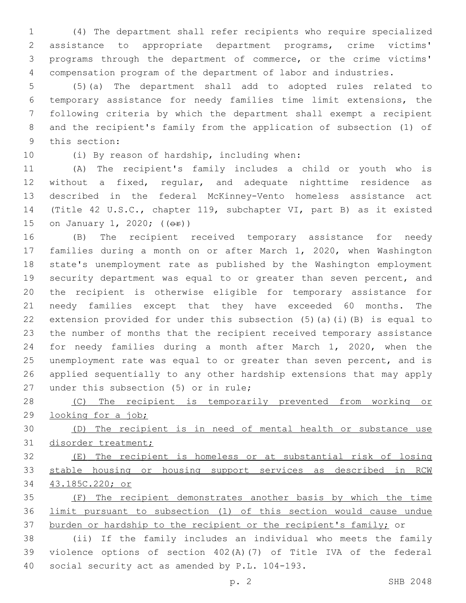(4) The department shall refer recipients who require specialized assistance to appropriate department programs, crime victims' programs through the department of commerce, or the crime victims' compensation program of the department of labor and industries.

 (5)(a) The department shall add to adopted rules related to temporary assistance for needy families time limit extensions, the following criteria by which the department shall exempt a recipient and the recipient's family from the application of subsection (1) of 9 this section:

10 (i) By reason of hardship, including when:

 (A) The recipient's family includes a child or youth who is without a fixed, regular, and adequate nighttime residence as described in the federal McKinney-Vento homeless assistance act (Title 42 U.S.C., chapter 119, subchapter VI, part B) as it existed 15 on January 1, 2020; (( $\Theta$ r))

 (B) The recipient received temporary assistance for needy families during a month on or after March 1, 2020, when Washington state's unemployment rate as published by the Washington employment security department was equal to or greater than seven percent, and the recipient is otherwise eligible for temporary assistance for needy families except that they have exceeded 60 months. The extension provided for under this subsection (5)(a)(i)(B) is equal to the number of months that the recipient received temporary assistance for needy families during a month after March 1, 2020, when the unemployment rate was equal to or greater than seven percent, and is applied sequentially to any other hardship extensions that may apply 27 under this subsection (5) or in rule;

 (C) The recipient is temporarily prevented from working or looking for a job;

 (D) The recipient is in need of mental health or substance use disorder treatment;

 (E) The recipient is homeless or at substantial risk of losing stable housing or housing support services as described in RCW 43.185C.220; or

 (F) The recipient demonstrates another basis by which the time limit pursuant to subsection (1) of this section would cause undue 37 burden or hardship to the recipient or the recipient's family; or

 (ii) If the family includes an individual who meets the family violence options of section 402(A)(7) of Title IVA of the federal 40 social security act as amended by P.L. 104-193.